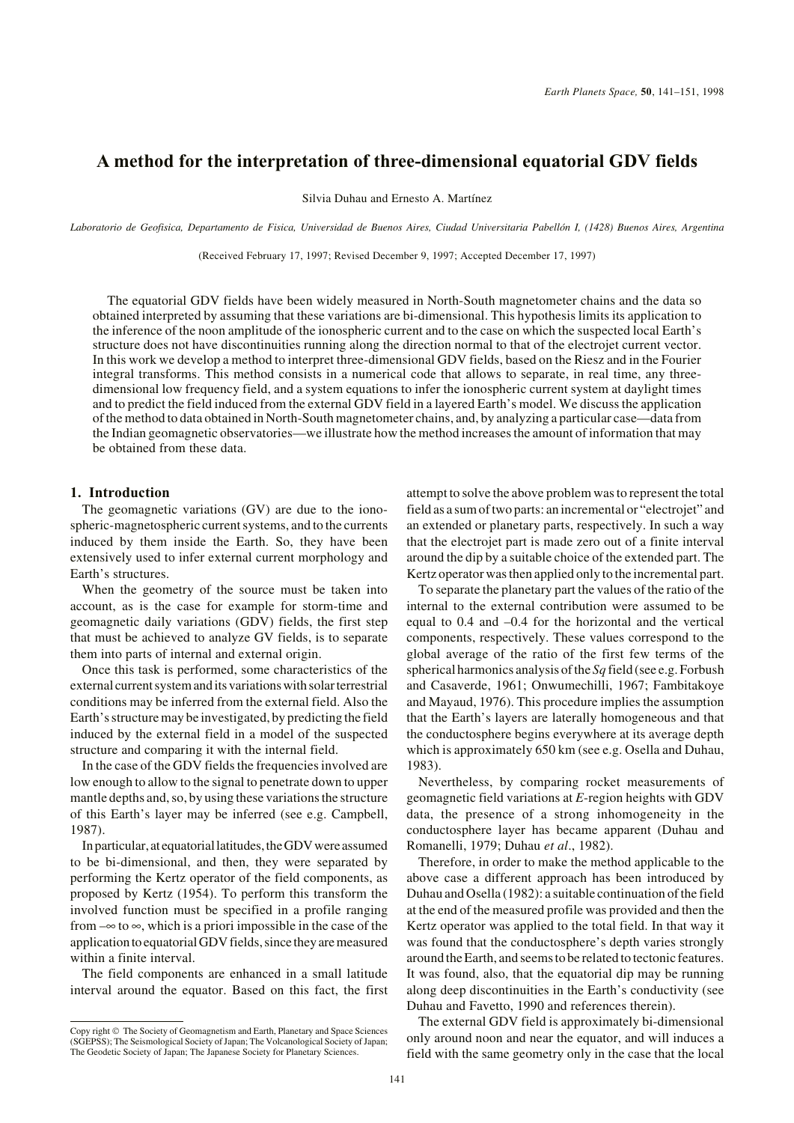# **A method for the interpretation of three-dimensional equatorial GDV fields**

Silvia Duhau and Ernesto A. Martínez

*Laboratorio de Geofisica, Departamento de Fisica, Universidad de Buenos Aires, Ciudad Universitaria Pabellón I, (1428) Buenos Aires, Argentina*

(Received February 17, 1997; Revised December 9, 1997; Accepted December 17, 1997)

The equatorial GDV fields have been widely measured in North-South magnetometer chains and the data so obtained interpreted by assuming that these variations are bi-dimensional. This hypothesis limits its application to the inference of the noon amplitude of the ionospheric current and to the case on which the suspected local Earth's structure does not have discontinuities running along the direction normal to that of the electrojet current vector. In this work we develop a method to interpret three-dimensional GDV fields, based on the Riesz and in the Fourier integral transforms. This method consists in a numerical code that allows to separate, in real time, any threedimensional low frequency field, and a system equations to infer the ionospheric current system at daylight times and to predict the field induced from the external GDV field in a layered Earth's model. We discuss the application of the method to data obtained in North-South magnetometer chains, and, by analyzing a particular case—data from the Indian geomagnetic observatories—we illustrate how the method increases the amount of information that may be obtained from these data.

# **1. Introduction**

The geomagnetic variations (GV) are due to the ionospheric-magnetospheric current systems, and to the currents induced by them inside the Earth. So, they have been extensively used to infer external current morphology and Earth's structures.

When the geometry of the source must be taken into account, as is the case for example for storm-time and geomagnetic daily variations (GDV) fields, the first step that must be achieved to analyze GV fields, is to separate them into parts of internal and external origin.

Once this task is performed, some characteristics of the external current system and its variations with solar terrestrial conditions may be inferred from the external field. Also the Earth's structure may be investigated, by predicting the field induced by the external field in a model of the suspected structure and comparing it with the internal field.

In the case of the GDV fields the frequencies involved are low enough to allow to the signal to penetrate down to upper mantle depths and, so, by using these variations the structure of this Earth's layer may be inferred (see e.g. Campbell, 1987).

In particular, at equatorial latitudes, the GDV were assumed to be bi-dimensional, and then, they were separated by performing the Kertz operator of the field components, as proposed by Kertz (1954). To perform this transform the involved function must be specified in a profile ranging from  $-\infty$  to  $\infty$ , which is a priori impossible in the case of the application to equatorial GDV fields, since they are measured within a finite interval.

The field components are enhanced in a small latitude interval around the equator. Based on this fact, the first attempt to solve the above problem was to represent the total field as a sum of two parts: an incremental or "electrojet" and an extended or planetary parts, respectively. In such a way that the electrojet part is made zero out of a finite interval around the dip by a suitable choice of the extended part. The Kertz operator was then applied only to the incremental part.

To separate the planetary part the values of the ratio of the internal to the external contribution were assumed to be equal to 0.4 and –0.4 for the horizontal and the vertical components, respectively. These values correspond to the global average of the ratio of the first few terms of the spherical harmonics analysis of the *Sq* field (see e.g. Forbush and Casaverde, 1961; Onwumechilli, 1967; Fambitakoye and Mayaud, 1976). This procedure implies the assumption that the Earth's layers are laterally homogeneous and that the conductosphere begins everywhere at its average depth which is approximately 650 km (see e.g. Osella and Duhau, 1983).

Nevertheless, by comparing rocket measurements of geomagnetic field variations at *E*-region heights with GDV data, the presence of a strong inhomogeneity in the conductosphere layer has became apparent (Duhau and Romanelli, 1979; Duhau *et al*., 1982).

Therefore, in order to make the method applicable to the above case a different approach has been introduced by Duhau and Osella (1982): a suitable continuation of the field at the end of the measured profile was provided and then the Kertz operator was applied to the total field. In that way it was found that the conductosphere's depth varies strongly around the Earth, and seems to be related to tectonic features. It was found, also, that the equatorial dip may be running along deep discontinuities in the Earth's conductivity (see Duhau and Favetto, 1990 and references therein).

The external GDV field is approximately bi-dimensional only around noon and near the equator, and will induces a field with the same geometry only in the case that the local

Copy right © The Society of Geomagnetism and Earth, Planetary and Space Sciences (SGEPSS); The Seismological Society of Japan; The Volcanological Society of Japan; The Geodetic Society of Japan; The Japanese Society for Planetary Sciences.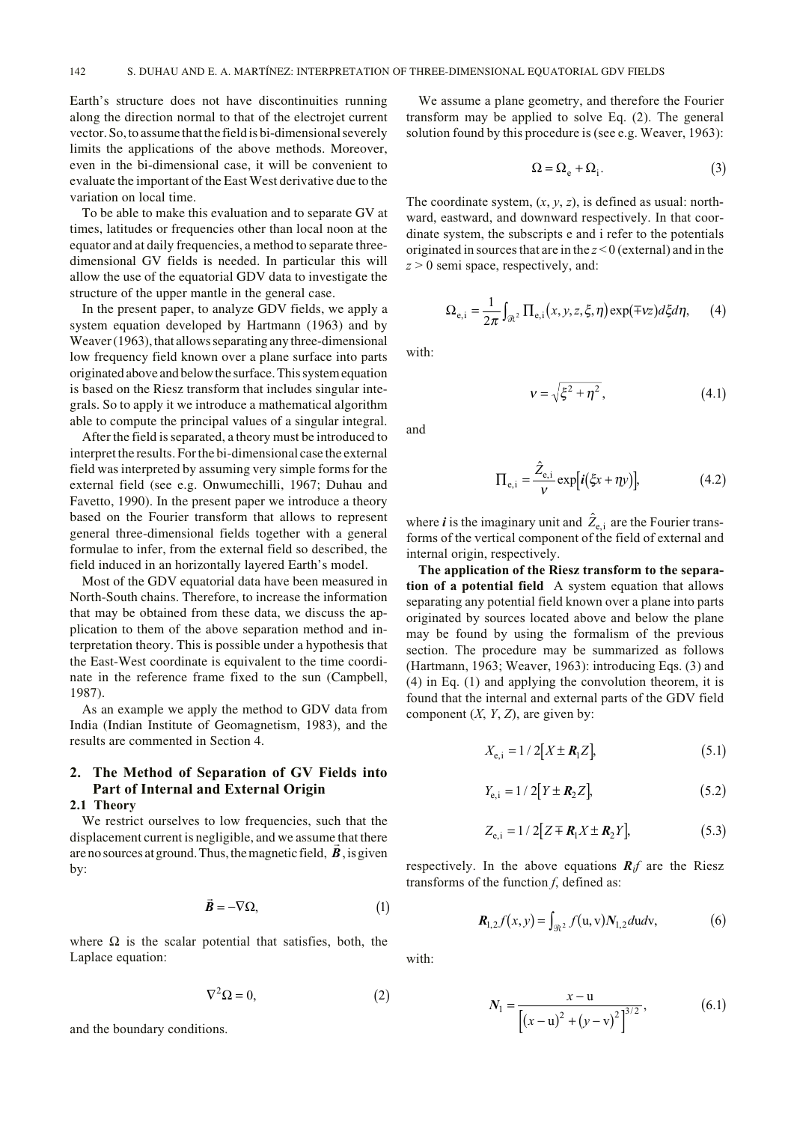Earth's structure does not have discontinuities running along the direction normal to that of the electrojet current vector. So, to assume that the field is bi-dimensional severely limits the applications of the above methods. Moreover, even in the bi-dimensional case, it will be convenient to evaluate the important of the East West derivative due to the variation on local time.

To be able to make this evaluation and to separate GV at times, latitudes or frequencies other than local noon at the equator and at daily frequencies, a method to separate threedimensional GV fields is needed. In particular this will allow the use of the equatorial GDV data to investigate the structure of the upper mantle in the general case.

In the present paper, to analyze GDV fields, we apply a system equation developed by Hartmann (1963) and by Weaver (1963), that allows separating any three-dimensional low frequency field known over a plane surface into parts originated above and below the surface. This system equation is based on the Riesz transform that includes singular integrals. So to apply it we introduce a mathematical algorithm able to compute the principal values of a singular integral.

After the field is separated, a theory must be introduced to interpret the results. For the bi-dimensional case the external field was interpreted by assuming very simple forms for the external field (see e.g. Onwumechilli, 1967; Duhau and Favetto, 1990). In the present paper we introduce a theory based on the Fourier transform that allows to represent general three-dimensional fields together with a general formulae to infer, from the external field so described, the field induced in an horizontally layered Earth's model.

Most of the GDV equatorial data have been measured in North-South chains. Therefore, to increase the information that may be obtained from these data, we discuss the application to them of the above separation method and interpretation theory. This is possible under a hypothesis that the East-West coordinate is equivalent to the time coordinate in the reference frame fixed to the sun (Campbell, 1987).

As an example we apply the method to GDV data from India (Indian Institute of Geomagnetism, 1983), and the results are commented in Section 4.

# **2. The Method of Separation of GV Fields into Part of Internal and External Origin**

#### **2.1 Theory**

We restrict ourselves to low frequencies, such that the displacement current is negligible, and we assume that there are no sources at ground. Thus, the magnetic field,  $\bm{B}$ , is given by: by:

$$
\vec{B} = -\nabla\Omega,\tag{1}
$$

where  $\Omega$  is the scalar potential that satisfies, both, the Laplace equation:

$$
\nabla^2 \Omega = 0,\t(2)
$$

and the boundary conditions.

We assume a plane geometry, and therefore the Fourier transform may be applied to solve Eq. (2). The general solution found by this procedure is (see e.g. Weaver, 1963):

$$
\Omega = \Omega_{\rm e} + \Omega_{\rm i}.\tag{3}
$$

The coordinate system,  $(x, y, z)$ , is defined as usual: northward, eastward, and downward respectively. In that coordinate system, the subscripts e and i refer to the potentials originated in sources that are in the *z* < 0 (external) and in the *z* > 0 semi space, respectively, and:

$$
\Omega_{\mathbf{e},\mathbf{i}} = \frac{1}{2\pi} \int_{\mathfrak{R}^2} \prod_{\mathbf{e},\mathbf{i}} (x, y, z, \xi, \eta) \exp(\mp \nu z) d\xi d\eta, \qquad (4)
$$

with:

$$
v = \sqrt{\xi^2 + \eta^2},\tag{4.1}
$$

and

$$
\Pi_{\text{e},\text{i}} = \frac{\hat{Z}_{\text{e},\text{i}}}{v} \exp[i(\xi x + \eta y)],\tag{4.2}
$$

where *i* is the imaginary unit and  $\hat{Z}_{e,i}$  are the Fourier trans-<br>forms of the vertical component of the field of external and forms of the vertical component of the field of external and internal origin, respectively.

**The application of the Riesz transform to the separation of a potential field** A system equation that allows separating any potential field known over a plane into parts originated by sources located above and below the plane may be found by using the formalism of the previous section. The procedure may be summarized as follows (Hartmann, 1963; Weaver, 1963): introducing Eqs.  $(3)$  and (4) in Eq. (1) and applying the convolution theorem, it is found that the internal and external parts of the GDV field component  $(X, Y, Z)$ , are given by:

$$
X_{e,i} = 1 / 2[X \pm R_1 Z],
$$
 (5.1)

$$
Y_{e,i} = 1/2[Y \pm R_2 Z],
$$
 (5.2)

$$
Z_{e,i} = 1 / 2[Z \mp R_1 X \pm R_2 Y],
$$
 (5.3)

respectively. In the above equations *Rif* are the Riesz transforms of the function *f*, defined as:

$$
\mathbf{R}_{1,2} f(x, y) = \int_{\mathcal{R}^2} f(u, v) N_{1,2} du dv,
$$
 (6)

with:

$$
N_1 = \frac{x - u}{\left[ (x - u)^2 + (y - v)^2 \right]^{3/2}},
$$
\n(6.1)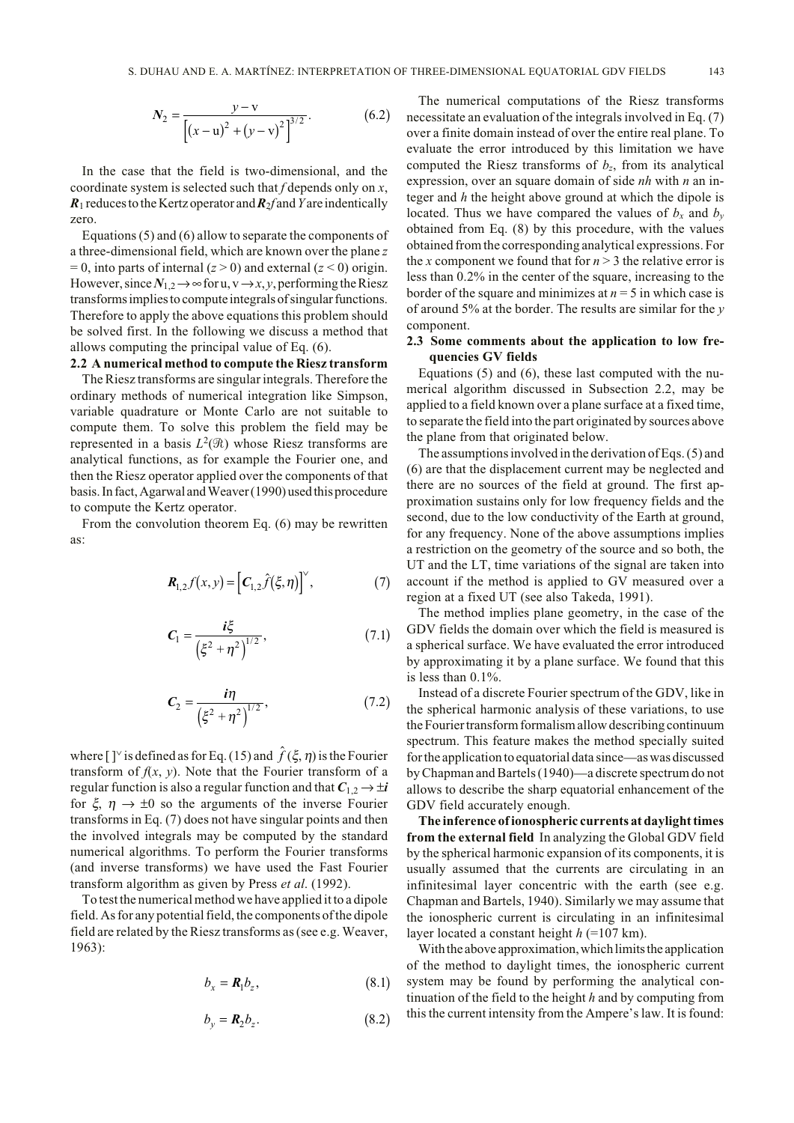$$
N_2 = \frac{y - v}{\left[ (x - u)^2 + (y - v)^2 \right]^{3/2}}.
$$
 (6.2)

In the case that the field is two-dimensional, and the coordinate system is selected such that *f* depends only on *x*,  $R_1$  reduces to the Kertz operator and  $R_2$ *f* and *Y* are indentically zero.

Equations (5) and (6) allow to separate the components of a three-dimensional field, which are known over the plane *z*  $= 0$ , into parts of internal ( $z > 0$ ) and external ( $z < 0$ ) origin. However, since  $N_{1,2} \rightarrow \infty$  for u,  $v \rightarrow x, y$ , performing the Riesz transforms implies to compute integrals of singular functions. Therefore to apply the above equations this problem should be solved first. In the following we discuss a method that allows computing the principal value of Eq. (6).

# **2.2 A numerical method to compute the Riesz transform**

The Riesz transforms are singular integrals. Therefore the ordinary methods of numerical integration like Simpson, variable quadrature or Monte Carlo are not suitable to compute them. To solve this problem the field may be represented in a basis  $L^2(\mathcal{R})$  whose Riesz transforms are analytical functions, as for example the Fourier one, and then the Riesz operator applied over the components of that basis. In fact, Agarwal and Weaver (1990) used this procedure to compute the Kertz operator.

From the convolution theorem Eq. (6) may be rewritten as:

$$
\boldsymbol{R}_{1,2}f(x,y) = \left[\boldsymbol{C}_{1,2}\hat{f}(\xi,\eta)\right]^{\vee},\tag{7}
$$

$$
C_1 = \frac{i\xi}{\left(\xi^2 + \eta^2\right)^{1/2}},\tag{7.1}
$$

$$
C_2 = \frac{i\eta}{\left(\xi^2 + \eta^2\right)^{1/2}},\tag{7.2}
$$

where [ ]<sup>∨</sup> is defined as for Eq. (15) and  $\hat{f}(\xi, \eta)$  is the Fourier transform of  $f(x, y)$ . Note that the Fourier transform of a regular function is also a regular function and that  $C_{1,2} \rightarrow \pm i$ for  $\xi$ ,  $\eta \to \pm 0$  so the arguments of the inverse Fourier transforms in Eq. (7) does not have singular points and then the involved integrals may be computed by the standard numerical algorithms. To perform the Fourier transforms (and inverse transforms) we have used the Fast Fourier transform algorithm as given by Press *et al*. (1992).

To test the numerical method we have applied it to a dipole field. As for any potential field, the components of the dipole field are related by the Riesz transforms as (see e.g. Weaver, 1963):

$$
b_x = \mathbf{R}_1 b_z, \tag{8.1}
$$

$$
b_y = \mathbf{R}_2 b_z. \tag{8.2}
$$

The numerical computations of the Riesz transforms necessitate an evaluation of the integrals involved in Eq. (7) over a finite domain instead of over the entire real plane. To evaluate the error introduced by this limitation we have computed the Riesz transforms of  $b_z$ , from its analytical expression, over an square domain of side *nh* with *n* an integer and *h* the height above ground at which the dipole is located. Thus we have compared the values of  $b_x$  and  $b_y$ obtained from Eq. (8) by this procedure, with the values obtained from the corresponding analytical expressions. For the *x* component we found that for  $n > 3$  the relative error is less than 0.2% in the center of the square, increasing to the border of the square and minimizes at  $n = 5$  in which case is of around 5% at the border. The results are similar for the *y* component.

# **2.3 Some comments about the application to low frequencies GV fields**

Equations (5) and (6), these last computed with the numerical algorithm discussed in Subsection 2.2, may be applied to a field known over a plane surface at a fixed time, to separate the field into the part originated by sources above the plane from that originated below.

The assumptions involved in the derivation of Eqs. (5) and (6) are that the displacement current may be neglected and there are no sources of the field at ground. The first approximation sustains only for low frequency fields and the second, due to the low conductivity of the Earth at ground, for any frequency. None of the above assumptions implies a restriction on the geometry of the source and so both, the UT and the LT, time variations of the signal are taken into account if the method is applied to GV measured over a region at a fixed UT (see also Takeda, 1991).

The method implies plane geometry, in the case of the GDV fields the domain over which the field is measured is a spherical surface. We have evaluated the error introduced by approximating it by a plane surface. We found that this is less than 0.1%.

Instead of a discrete Fourier spectrum of the GDV, like in the spherical harmonic analysis of these variations, to use the Fourier transform formalism allow describing continuum spectrum. This feature makes the method specially suited for the application to equatorial data since—as was discussed by Chapman and Bartels (1940)—a discrete spectrum do not allows to describe the sharp equatorial enhancement of the GDV field accurately enough.

**The inference of ionospheric currents at daylight times from the external field** In analyzing the Global GDV field by the spherical harmonic expansion of its components, it is usually assumed that the currents are circulating in an infinitesimal layer concentric with the earth (see e.g. Chapman and Bartels, 1940). Similarly we may assume that the ionospheric current is circulating in an infinitesimal layer located a constant height *h* (=107 km).

With the above approximation, which limits the application of the method to daylight times, the ionospheric current system may be found by performing the analytical continuation of the field to the height *h* and by computing from this the current intensity from the Ampere's law. It is found: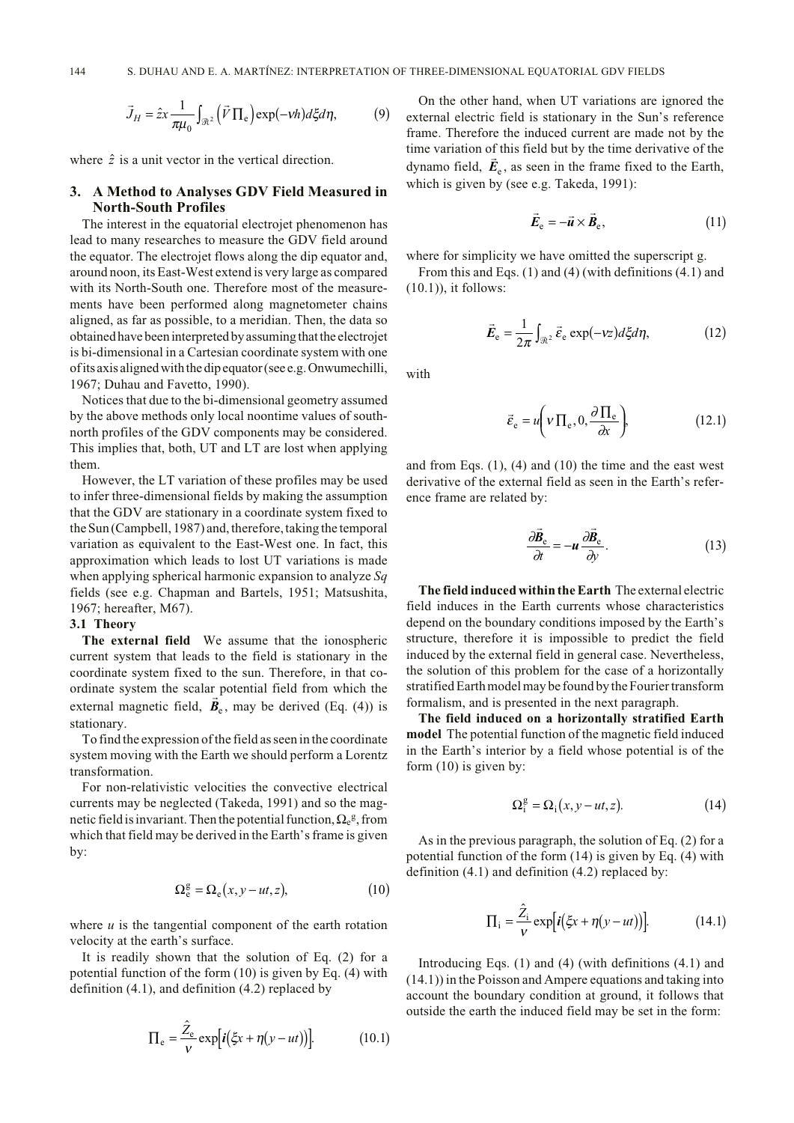$$
\vec{J}_H = \hat{z}x \frac{1}{\pi \mu_0} \int_{\Re^2} (\vec{V} \Pi_e) \exp(-\nu h) d\xi d\eta, \tag{9}
$$

where  $\hat{z}$  is a unit vector in the vertical direction.

# **3. A Method to Analyses GDV Field Measured in North-South Profiles**

The interest in the equatorial electrojet phenomenon has lead to many researches to measure the GDV field around the equator. The electrojet flows along the dip equator and, around noon, its East-West extend is very large as compared with its North-South one. Therefore most of the measurements have been performed along magnetometer chains aligned, as far as possible, to a meridian. Then, the data so obtained have been interpreted by assuming that the electrojet is bi-dimensional in a Cartesian coordinate system with one of its axis aligned with the dip equator (see e.g. Onwumechilli, 1967; Duhau and Favetto, 1990).

Notices that due to the bi-dimensional geometry assumed by the above methods only local noontime values of southnorth profiles of the GDV components may be considered. This implies that, both, UT and LT are lost when applying them.

However, the LT variation of these profiles may be used to infer three-dimensional fields by making the assumption that the GDV are stationary in a coordinate system fixed to the Sun (Campbell, 1987) and, therefore, taking the temporal variation as equivalent to the East-West one. In fact, this approximation which leads to lost UT variations is made when applying spherical harmonic expansion to analyze *Sq* fields (see e.g. Chapman and Bartels, 1951; Matsushita, 1967; hereafter, M67).

#### **3.1 Theory**

**The external field** We assume that the ionospheric current system that leads to the field is stationary in the coordinate system fixed to the sun. Therefore, in that coordinate system the scalar potential field from which the r external magnetic field,  $B_e$ , may be derived (Eq. (4)) is stationary stationary.

To find the expression of the field as seen in the coordinate system moving with the Earth we should perform a Lorentz transformation.

For non-relativistic velocities the convective electrical currents may be neglected (Takeda, 1991) and so the magnetic field is invariant. Then the potential function,  $\Omega_e$ <sup>g</sup>, from which that field may be derived in the Earth's frame is given by:

$$
\Omega_{\rm e}^{\rm g} = \Omega_{\rm e}(x, y - ut, z),\tag{10}
$$

where  $u$  is the tangential component of the earth rotation velocity at the earth's surface.

It is readily shown that the solution of Eq. (2) for a potential function of the form  $(10)$  is given by Eq.  $(4)$  with definition (4.1), and definition (4.2) replaced by

$$
\Pi_{\rm e} = \frac{\hat{Z}_{\rm e}}{v} \exp[i(\xi x + \eta(y - ut))]. \tag{10.1}
$$

On the other hand, when UT variations are ignored the external electric field is stationary in the Sun's reference frame. Therefore the induced current are made not by the time variation of this field but by the time derivative of the r dynamo field,  $E_e$ , as seen in the frame fixed to the Earth,<br>which is given by (see a.g. Takeda, 1991); which is given by (see e.g. Takeda, 1991):

$$
\vec{E}_{\rm e} = -\vec{u} \times \vec{B}_{\rm e},\qquad(11)
$$

where for simplicity we have omitted the superscript g.

From this and Eqs. (1) and (4) (with definitions (4.1) and  $(10.1)$ , it follows:

$$
\vec{E}_{\rm e} = \frac{1}{2\pi} \int_{\Re^2} \vec{\varepsilon}_{\rm e} \exp(-\nu z) d\xi d\eta, \tag{12}
$$

with

$$
\vec{\varepsilon}_{\rm e} = u \left( v \prod_{\rm e} , 0 , \frac{\partial \Pi_{\rm e}}{\partial x} \right), \tag{12.1}
$$

and from Eqs.  $(1)$ ,  $(4)$  and  $(10)$  the time and the east west derivative of the external field as seen in the Earth's reference frame are related by:

$$
\frac{\partial \vec{B}_{\rm e}}{\partial t} = -\mathbf{u} \frac{\partial \vec{B}_{\rm e}}{\partial y}.
$$
 (13)

**The field induced within the Earth** The external electric field induces in the Earth currents whose characteristics depend on the boundary conditions imposed by the Earth's structure, therefore it is impossible to predict the field induced by the external field in general case. Nevertheless, the solution of this problem for the case of a horizontally stratified Earth model may be found by the Fourier transform formalism, and is presented in the next paragraph.

**The field induced on a horizontally stratified Earth model** The potential function of the magnetic field induced in the Earth's interior by a field whose potential is of the form (10) is given by:

$$
\Omega_i^g = \Omega_i(x, y - ut, z). \tag{14}
$$

As in the previous paragraph, the solution of Eq. (2) for a potential function of the form (14) is given by Eq. (4) with definition (4.1) and definition (4.2) replaced by:

$$
\Pi_{i} = \frac{\hat{Z}_{i}}{v} \exp[i(\xi x + \eta(y - ut))]. \tag{14.1}
$$

Introducing Eqs. (1) and (4) (with definitions (4.1) and (14.1)) in the Poisson and Ampere equations and taking into account the boundary condition at ground, it follows that outside the earth the induced field may be set in the form: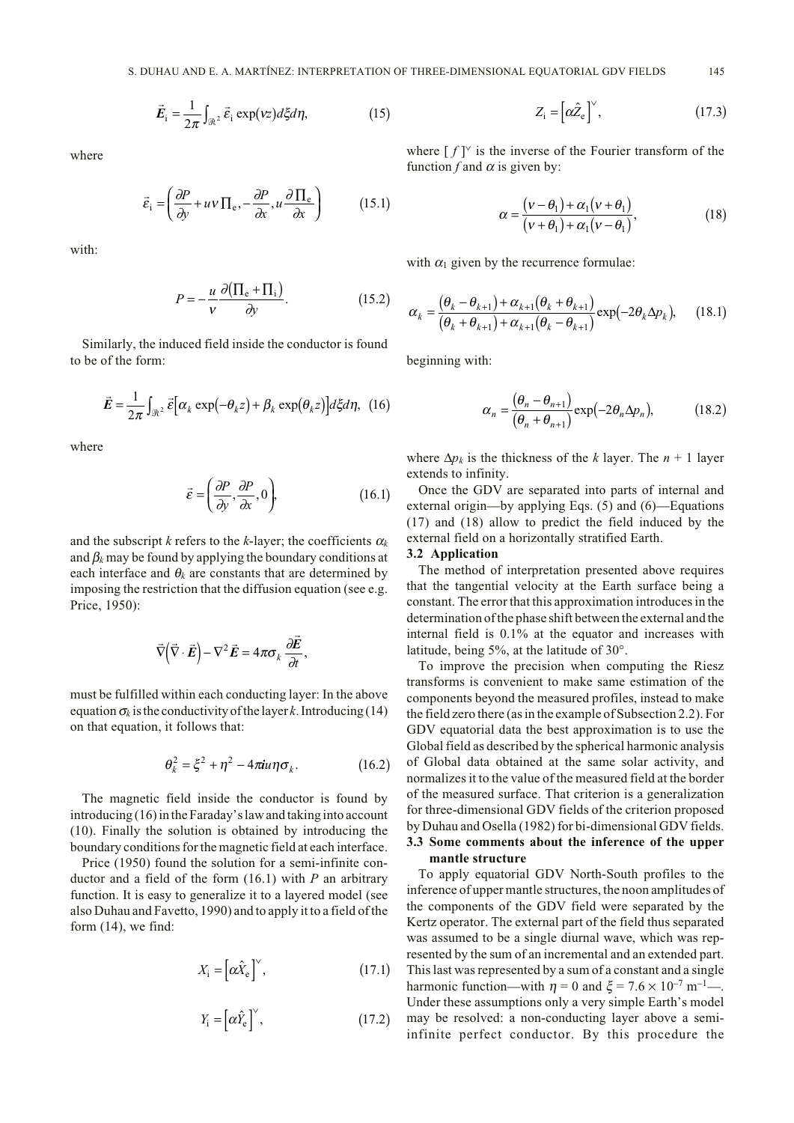$$
\vec{E}_{\mathbf{i}} = \frac{1}{2\pi} \int_{\Re^2} \vec{\varepsilon}_{\mathbf{i}} \exp(\nu z) d\xi d\eta, \tag{15}
$$

where

$$
\vec{\varepsilon}_{\rm i} = \left(\frac{\partial P}{\partial y} + uv \prod_{\rm e} \, -\frac{\partial P}{\partial x}, u \, \frac{\partial \prod_{\rm e}}{\partial x}\right) \tag{15.1}
$$

with:

$$
P = -\frac{u}{v} \frac{\partial (\Pi_e + \Pi_i)}{\partial y}.
$$
 (15.2)

Similarly, the induced field inside the conductor is found to be of the form:

$$
\vec{E} = \frac{1}{2\pi} \int_{\mathcal{R}^2} \vec{\varepsilon} \Big[ \alpha_k \exp(-\theta_k z) + \beta_k \exp(\theta_k z) \Big] d\xi d\eta, \tag{16}
$$

where

$$
\vec{\varepsilon} = \left(\frac{\partial P}{\partial y}, \frac{\partial P}{\partial x}, 0\right),\tag{16.1}
$$

and the subscript *k* refers to the *k*-layer; the coefficients  $\alpha_k$ and  $\beta_k$  may be found by applying the boundary conditions at each interface and  $\theta_k$  are constants that are determined by imposing the restriction that the diffusion equation (see e.g. Price, 1950):

$$
\vec{\nabla}(\vec{\nabla}\cdot\vec{E}) - \nabla^2\vec{E} = 4\pi\sigma_k \frac{\partial\vec{E}}{\partial t},
$$

must be fulfilled within each conducting layer: In the above equation  $\sigma_k$  is the conductivity of the layer *k*. Introducing (14) on that equation, it follows that:

$$
\theta_k^2 = \xi^2 + \eta^2 - 4\pi i u \eta \sigma_k. \qquad (16.2)
$$

The magnetic field inside the conductor is found by introducing (16) in the Faraday's law and taking into account (10). Finally the solution is obtained by introducing the boundary conditions for the magnetic field at each interface.

Price (1950) found the solution for a semi-infinite conductor and a field of the form (16.1) with *P* an arbitrary function. It is easy to generalize it to a layered model (see also Duhau and Favetto, 1990) and to apply it to a field of the form (14), we find:

$$
X_{\mathbf{i}} = \left[ \alpha \hat{X}_{\mathbf{e}} \right]^{\vee}, \tag{17.1}
$$

$$
Y_{\rm i} = \left[ \alpha \hat{Y}_{\rm e} \right]^{\vee}, \tag{17.2}
$$

$$
Z_{\rm i} = \left[ \alpha \hat{Z}_{\rm e} \right]^{\vee},\tag{17.3}
$$

where  $[f]^\vee$  is the inverse of the Fourier transform of the function *f* and  $\alpha$  is given by:

$$
\alpha = \frac{(v - \theta_1) + \alpha_1(v + \theta_1)}{(v + \theta_1) + \alpha_1(v - \theta_1)},
$$
\n(18)

with  $\alpha_1$  given by the recurrence formulae:

$$
\alpha_k = \frac{(\theta_k - \theta_{k+1}) + \alpha_{k+1}(\theta_k + \theta_{k+1})}{(\theta_k + \theta_{k+1}) + \alpha_{k+1}(\theta_k - \theta_{k+1})} \exp(-2\theta_k \Delta p_k), \quad (18.1)
$$

beginning with:

$$
\alpha_n = \frac{(\theta_n - \theta_{n+1})}{(\theta_n + \theta_{n+1})} \exp(-2\theta_n \Delta p_n), \quad (18.2)
$$

where  $\Delta p_k$  is the thickness of the *k* layer. The *n* + 1 layer extends to infinity.

Once the GDV are separated into parts of internal and external origin—by applying Eqs. (5) and (6)—Equations (17) and (18) allow to predict the field induced by the external field on a horizontally stratified Earth.

#### **3.2 Application**

The method of interpretation presented above requires that the tangential velocity at the Earth surface being a constant. The error that this approximation introduces in the determination of the phase shift between the external and the internal field is 0.1% at the equator and increases with latitude, being 5%, at the latitude of 30°.

To improve the precision when computing the Riesz transforms is convenient to make same estimation of the components beyond the measured profiles, instead to make the field zero there (as in the example of Subsection 2.2). For GDV equatorial data the best approximation is to use the Global field as described by the spherical harmonic analysis of Global data obtained at the same solar activity, and normalizes it to the value of the measured field at the border of the measured surface. That criterion is a generalization for three-dimensional GDV fields of the criterion proposed by Duhau and Osella (1982) for bi-dimensional GDV fields. **3.3 Some comments about the inference of the upper mantle structure**

To apply equatorial GDV North-South profiles to the inference of upper mantle structures, the noon amplitudes of the components of the GDV field were separated by the Kertz operator. The external part of the field thus separated was assumed to be a single diurnal wave, which was represented by the sum of an incremental and an extended part. This last was represented by a sum of a constant and a single harmonic function—with  $\eta = 0$  and  $\xi = 7.6 \times 10^{-7}$  m<sup>-1</sup>—. Under these assumptions only a very simple Earth's model may be resolved: a non-conducting layer above a semiinfinite perfect conductor. By this procedure the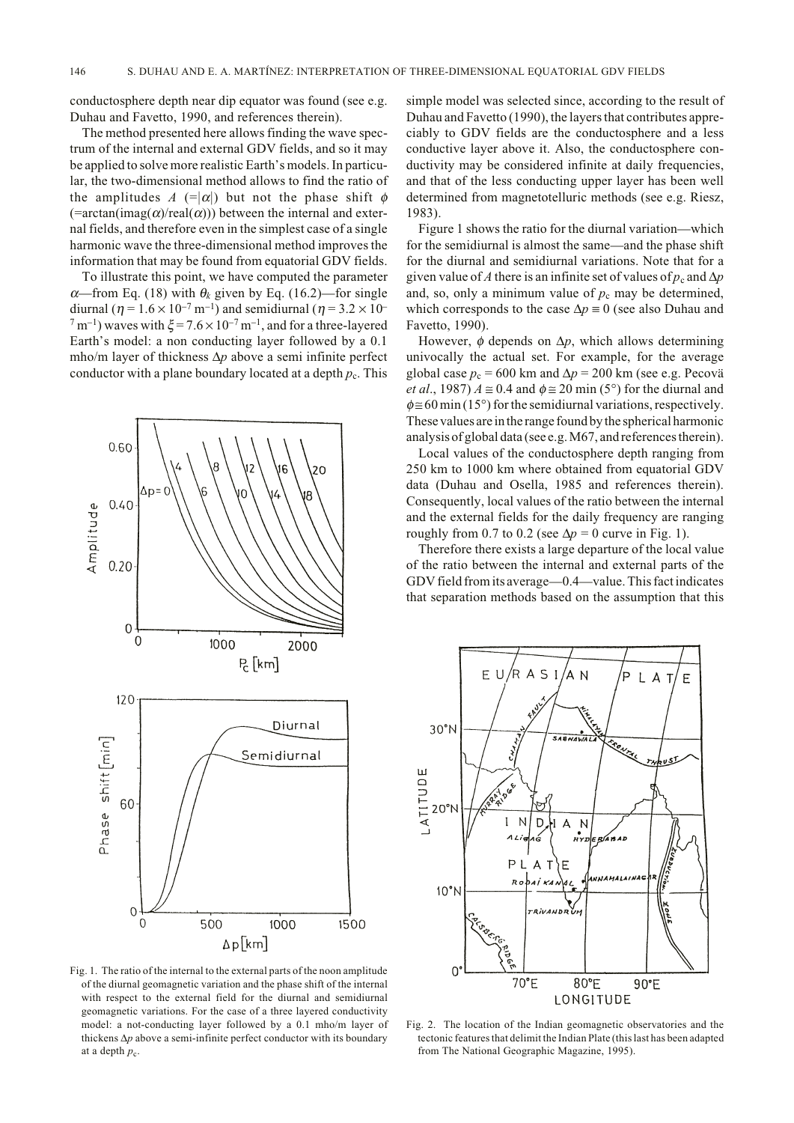conductosphere depth near dip equator was found (see e.g. Duhau and Favetto, 1990, and references therein).

The method presented here allows finding the wave spectrum of the internal and external GDV fields, and so it may be applied to solve more realistic Earth's models. In particular, the two-dimensional method allows to find the ratio of the amplitudes *A* (=| $\alpha$ ) but not the phase shift  $\phi$  $(=\arctan(\text{imag}(\alpha)/\text{real}(\alpha)))$  between the internal and external fields, and therefore even in the simplest case of a single harmonic wave the three-dimensional method improves the information that may be found from equatorial GDV fields.

To illustrate this point, we have computed the parameter <sup>α</sup>—from Eq. (18) with θ*k* given by Eq. (16.2)—for single diurnal ( $\eta = 1.6 \times 10^{-7}$  m<sup>-1</sup>) and semidiurnal ( $\eta = 3.2 \times 10^{-7}$  $^7$  m<sup>-1</sup>) waves with  $\xi$  = 7.6 × 10<sup>-7</sup> m<sup>-1</sup>, and for a three-layered Earth's model: a non conducting layer followed by a 0.1 mho/m layer of thickness Δ*p* above a semi infinite perfect conductor with a plane boundary located at a depth  $p_c$ . This



Fig. 1. The ratio of the internal to the external parts of the noon amplitude of the diurnal geomagnetic variation and the phase shift of the internal with respect to the external field for the diurnal and semidiurnal geomagnetic variations. For the case of a three layered conductivity model: a not-conducting layer followed by a 0.1 mho/m layer of thickens Δ*p* above a semi-infinite perfect conductor with its boundary at a depth  $p_c$ .

simple model was selected since, according to the result of Duhau and Favetto (1990), the layers that contributes appreciably to GDV fields are the conductosphere and a less conductive layer above it. Also, the conductosphere conductivity may be considered infinite at daily frequencies, and that of the less conducting upper layer has been well determined from magnetotelluric methods (see e.g. Riesz, 1983).

Figure 1 shows the ratio for the diurnal variation—which for the semidiurnal is almost the same—and the phase shift for the diurnal and semidiurnal variations. Note that for a given value of *A* there is an infinite set of values of  $p_c$  and  $\Delta p$ and, so, only a minimum value of  $p_c$  may be determined, which corresponds to the case  $\Delta p \equiv 0$  (see also Duhau and Favetto, 1990).

However,  $\phi$  depends on  $\Delta p$ , which allows determining univocally the actual set. For example, for the average global case  $p_c = 600$  km and  $\Delta p = 200$  km (see e.g. Pecovä *et al.*, 1987)  $A \approx 0.4$  and  $\phi \approx 20$  min (5°) for the diurnal and  $\phi \approx 60$  min (15°) for the semidiurnal variations, respectively. These values are in the range found by the spherical harmonic analysis of global data (see e.g. M67, and references therein).

Local values of the conductosphere depth ranging from 250 km to 1000 km where obtained from equatorial GDV data (Duhau and Osella, 1985 and references therein). Consequently, local values of the ratio between the internal and the external fields for the daily frequency are ranging roughly from 0.7 to 0.2 (see  $\Delta p = 0$  curve in Fig. 1).

Therefore there exists a large departure of the local value of the ratio between the internal and external parts of the GDV field from its average—0.4—value. This fact indicates that separation methods based on the assumption that this



Fig. 2. The location of the Indian geomagnetic observatories and the tectonic features that delimit the Indian Plate (this last has been adapted from The National Geographic Magazine, 1995).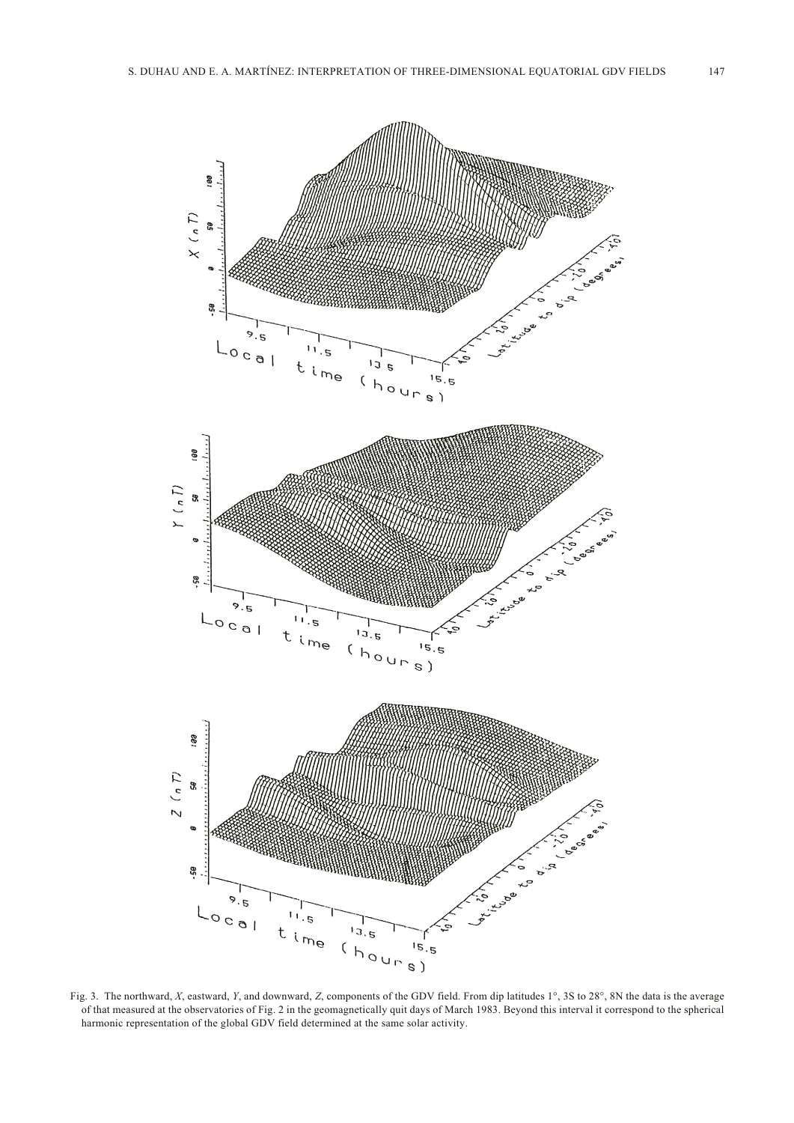

Fig. 3. The northward, *X*, eastward, *Y*, and downward, *Z*, components of the GDV field. From dip latitudes 1°, 3S to 28°, 8N the data is the average of that measured at the observatories of Fig. 2 in the geomagnetically quit days of March 1983. Beyond this interval it correspond to the spherical harmonic representation of the global GDV field determined at the same solar activity.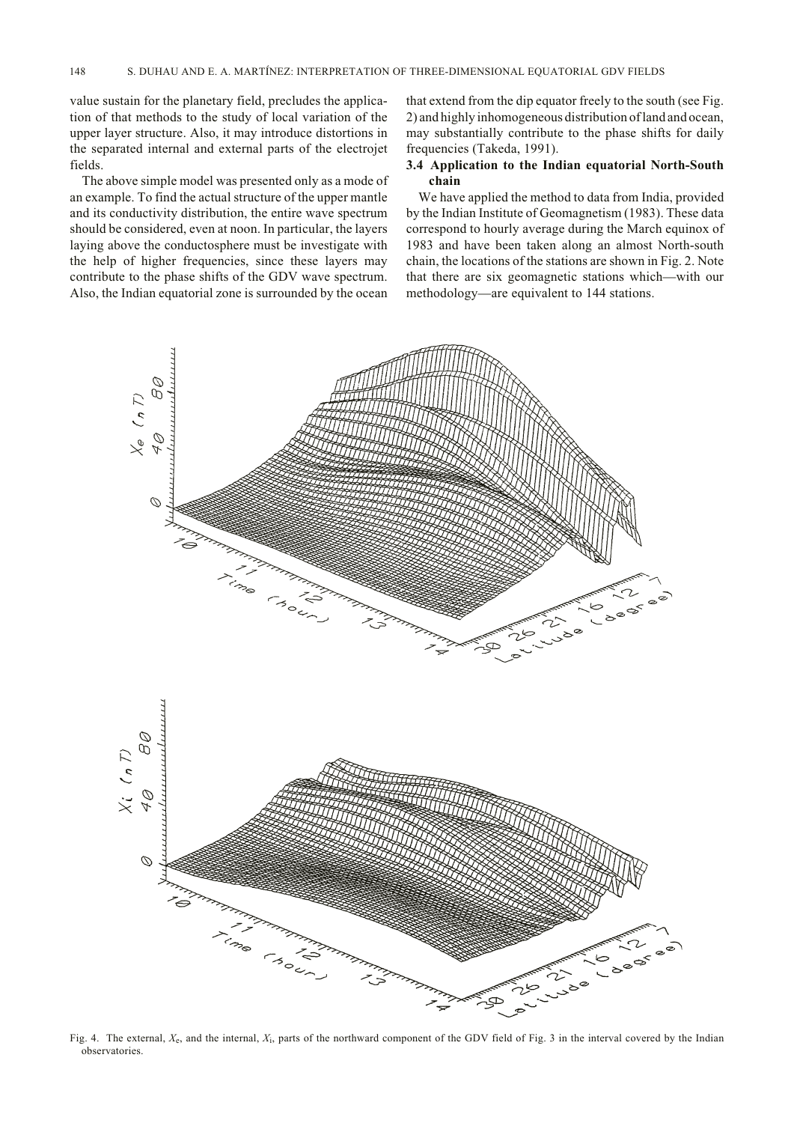value sustain for the planetary field, precludes the application of that methods to the study of local variation of the upper layer structure. Also, it may introduce distortions in the separated internal and external parts of the electrojet fields.

The above simple model was presented only as a mode of an example. To find the actual structure of the upper mantle and its conductivity distribution, the entire wave spectrum should be considered, even at noon. In particular, the layers laying above the conductosphere must be investigate with the help of higher frequencies, since these layers may contribute to the phase shifts of the GDV wave spectrum. Also, the Indian equatorial zone is surrounded by the ocean

that extend from the dip equator freely to the south (see Fig. 2) and highly inhomogeneous distribution of land and ocean, may substantially contribute to the phase shifts for daily frequencies (Takeda, 1991).

#### **3.4 Application to the Indian equatorial North-South chain**

We have applied the method to data from India, provided by the Indian Institute of Geomagnetism (1983). These data correspond to hourly average during the March equinox of 1983 and have been taken along an almost North-south chain, the locations of the stations are shown in Fig. 2. Note that there are six geomagnetic stations which—with our methodology—are equivalent to 144 stations.



Fig. 4. The external,  $X_e$ , and the internal,  $X_i$ , parts of the northward component of the GDV field of Fig. 3 in the interval covered by the Indian observatories.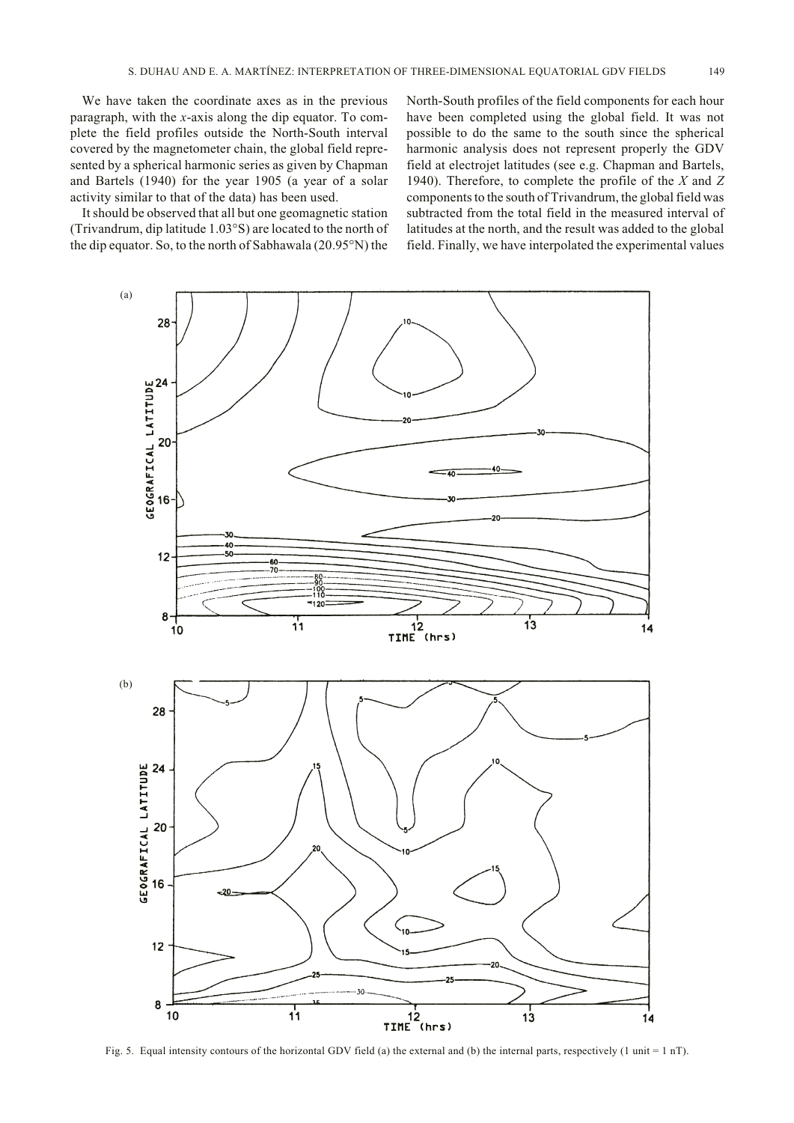We have taken the coordinate axes as in the previous paragraph, with the *x*-axis along the dip equator. To complete the field profiles outside the North-South interval covered by the magnetometer chain, the global field represented by a spherical harmonic series as given by Chapman and Bartels (1940) for the year 1905 (a year of a solar activity similar to that of the data) has been used.

It should be observed that all but one geomagnetic station (Trivandrum, dip latitude 1.03°S) are located to the north of the dip equator. So, to the north of Sabhawala (20.95°N) the

North-South profiles of the field components for each hour have been completed using the global field. It was not possible to do the same to the south since the spherical harmonic analysis does not represent properly the GDV field at electrojet latitudes (see e.g. Chapman and Bartels, 1940). Therefore, to complete the profile of the *X* and *Z* components to the south of Trivandrum, the global field was subtracted from the total field in the measured interval of latitudes at the north, and the result was added to the global field. Finally, we have interpolated the experimental values



Fig. 5. Equal intensity contours of the horizontal GDV field (a) the external and (b) the internal parts, respectively (1 unit = 1 nT).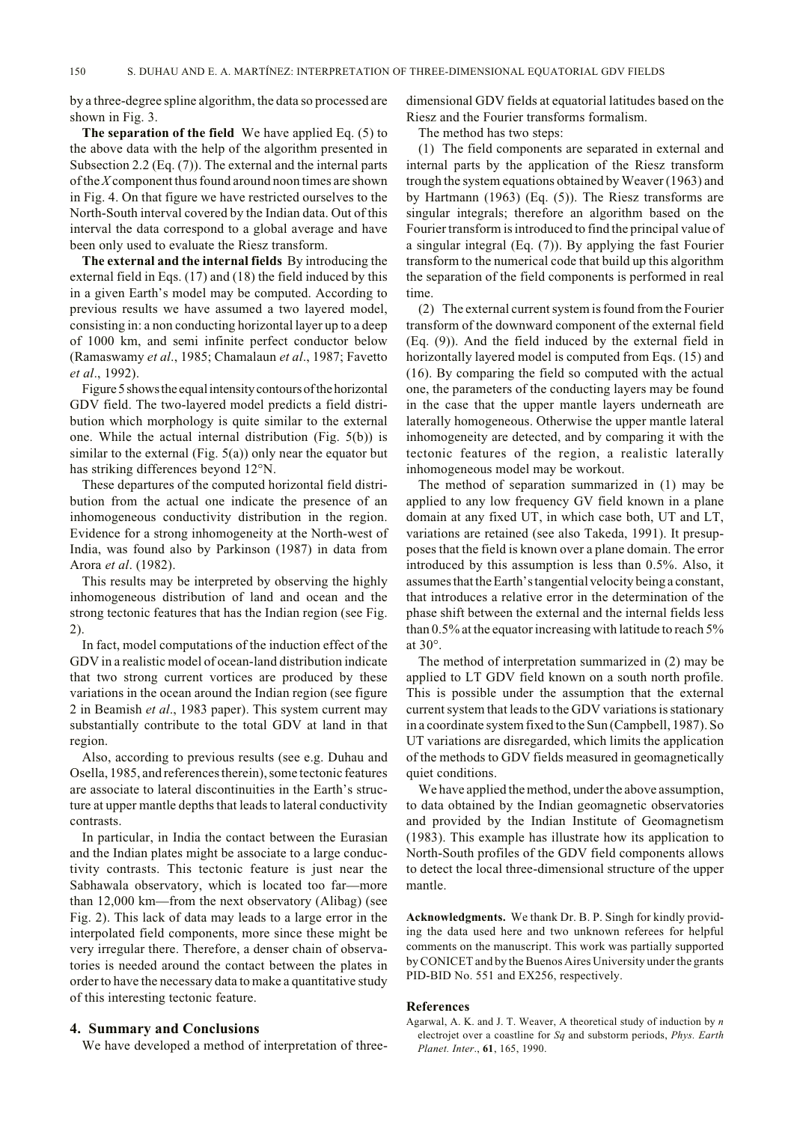by a three-degree spline algorithm, the data so processed are shown in Fig. 3.

**The separation of the field** We have applied Eq. (5) to the above data with the help of the algorithm presented in Subsection 2.2 (Eq. (7)). The external and the internal parts of the *X* component thus found around noon times are shown in Fig. 4. On that figure we have restricted ourselves to the North-South interval covered by the Indian data. Out of this interval the data correspond to a global average and have been only used to evaluate the Riesz transform.

**The external and the internal fields** By introducing the external field in Eqs. (17) and (18) the field induced by this in a given Earth's model may be computed. According to previous results we have assumed a two layered model, consisting in: a non conducting horizontal layer up to a deep of 1000 km, and semi infinite perfect conductor below (Ramaswamy *et al*., 1985; Chamalaun *et al*., 1987; Favetto *et al*., 1992).

Figure 5 shows the equal intensity contours of the horizontal GDV field. The two-layered model predicts a field distribution which morphology is quite similar to the external one. While the actual internal distribution (Fig. 5(b)) is similar to the external (Fig.  $5(a)$ ) only near the equator but has striking differences beyond 12°N.

These departures of the computed horizontal field distribution from the actual one indicate the presence of an inhomogeneous conductivity distribution in the region. Evidence for a strong inhomogeneity at the North-west of India, was found also by Parkinson (1987) in data from Arora *et al*. (1982).

This results may be interpreted by observing the highly inhomogeneous distribution of land and ocean and the strong tectonic features that has the Indian region (see Fig. 2).

In fact, model computations of the induction effect of the GDV in a realistic model of ocean-land distribution indicate that two strong current vortices are produced by these variations in the ocean around the Indian region (see figure 2 in Beamish *et al*., 1983 paper). This system current may substantially contribute to the total GDV at land in that region.

Also, according to previous results (see e.g. Duhau and Osella, 1985, and references therein), some tectonic features are associate to lateral discontinuities in the Earth's structure at upper mantle depths that leads to lateral conductivity contrasts.

In particular, in India the contact between the Eurasian and the Indian plates might be associate to a large conductivity contrasts. This tectonic feature is just near the Sabhawala observatory, which is located too far—more than 12,000 km—from the next observatory (Alibag) (see Fig. 2). This lack of data may leads to a large error in the interpolated field components, more since these might be very irregular there. Therefore, a denser chain of observatories is needed around the contact between the plates in order to have the necessary data to make a quantitative study of this interesting tectonic feature.

# **4. Summary and Conclusions**

We have developed a method of interpretation of three-

dimensional GDV fields at equatorial latitudes based on the Riesz and the Fourier transforms formalism.

The method has two steps:

(1) The field components are separated in external and internal parts by the application of the Riesz transform trough the system equations obtained by Weaver (1963) and by Hartmann (1963) (Eq. (5)). The Riesz transforms are singular integrals; therefore an algorithm based on the Fourier transform is introduced to find the principal value of a singular integral (Eq. (7)). By applying the fast Fourier transform to the numerical code that build up this algorithm the separation of the field components is performed in real time.

(2) The external current system is found from the Fourier transform of the downward component of the external field (Eq. (9)). And the field induced by the external field in horizontally layered model is computed from Eqs. (15) and (16). By comparing the field so computed with the actual one, the parameters of the conducting layers may be found in the case that the upper mantle layers underneath are laterally homogeneous. Otherwise the upper mantle lateral inhomogeneity are detected, and by comparing it with the tectonic features of the region, a realistic laterally inhomogeneous model may be workout.

The method of separation summarized in (1) may be applied to any low frequency GV field known in a plane domain at any fixed UT, in which case both, UT and LT, variations are retained (see also Takeda, 1991). It presupposes that the field is known over a plane domain. The error introduced by this assumption is less than 0.5%. Also, it assumes that the Earth's tangential velocity being a constant, that introduces a relative error in the determination of the phase shift between the external and the internal fields less than 0.5% at the equator increasing with latitude to reach 5% at 30°.

The method of interpretation summarized in (2) may be applied to LT GDV field known on a south north profile. This is possible under the assumption that the external current system that leads to the GDV variations is stationary in a coordinate system fixed to the Sun (Campbell, 1987). So UT variations are disregarded, which limits the application of the methods to GDV fields measured in geomagnetically quiet conditions.

We have applied the method, under the above assumption, to data obtained by the Indian geomagnetic observatories and provided by the Indian Institute of Geomagnetism (1983). This example has illustrate how its application to North-South profiles of the GDV field components allows to detect the local three-dimensional structure of the upper mantle.

**Acknowledgments.** We thank Dr. B. P. Singh for kindly providing the data used here and two unknown referees for helpful comments on the manuscript. This work was partially supported by CONICET and by the Buenos Aires University under the grants PID-BID No. 551 and EX256, respectively.

#### **References**

Agarwal, A. K. and J. T. Weaver, A theoretical study of induction by *n* electrojet over a coastline for *Sq* and substorm periods, *Phys. Earth Planet. Inter*., **61**, 165, 1990.